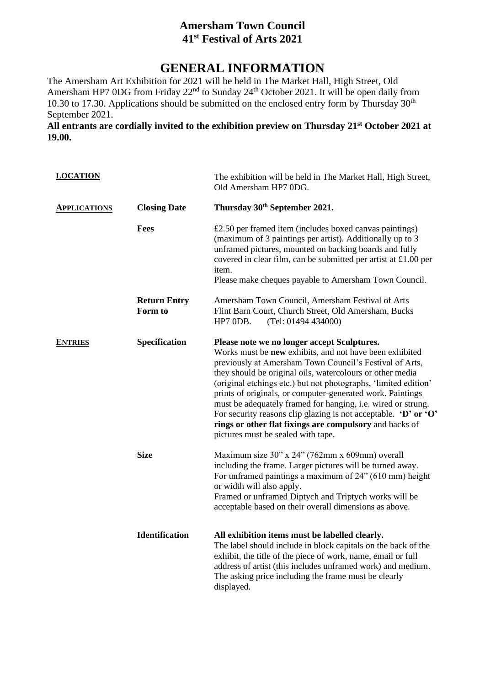## **Amersham Town Council 41 st Festival of Arts 2021**

## **GENERAL INFORMATION**

The Amersham Art Exhibition for 2021 will be held in The Market Hall, High Street, Old Amersham HP7 0DG from Friday 22<sup>nd</sup> to Sunday 24<sup>th</sup> October 2021. It will be open daily from 10.30 to 17.30. Applications should be submitted on the enclosed entry form by Thursday  $30<sup>th</sup>$ September 2021.

**All entrants are cordially invited to the exhibition preview on Thursday 21st October 2021 at 19.00.**

| <b>LOCATION</b>     |                                | The exhibition will be held in The Market Hall, High Street,<br>Old Amersham HP7 0DG.                                                                                                                                                                                                                                                                                                                                                                                                                                                                                                                                   |
|---------------------|--------------------------------|-------------------------------------------------------------------------------------------------------------------------------------------------------------------------------------------------------------------------------------------------------------------------------------------------------------------------------------------------------------------------------------------------------------------------------------------------------------------------------------------------------------------------------------------------------------------------------------------------------------------------|
| <b>APPLICATIONS</b> | <b>Closing Date</b>            | Thursday 30th September 2021.                                                                                                                                                                                                                                                                                                                                                                                                                                                                                                                                                                                           |
|                     | Fees                           | £2.50 per framed item (includes boxed canvas paintings)<br>(maximum of 3 paintings per artist). Additionally up to 3<br>unframed pictures, mounted on backing boards and fully<br>covered in clear film, can be submitted per artist at $£1.00$ per<br>item.<br>Please make cheques payable to Amersham Town Council.                                                                                                                                                                                                                                                                                                   |
|                     | <b>Return Entry</b><br>Form to | Amersham Town Council, Amersham Festival of Arts<br>Flint Barn Court, Church Street, Old Amersham, Bucks<br>HP7 ODB.<br>(Tel: 01494 434000)                                                                                                                                                                                                                                                                                                                                                                                                                                                                             |
| <b>ENTRIES</b>      | Specification                  | Please note we no longer accept Sculptures.<br>Works must be new exhibits, and not have been exhibited<br>previously at Amersham Town Council's Festival of Arts,<br>they should be original oils, watercolours or other media<br>(original etchings etc.) but not photographs, 'limited edition'<br>prints of originals, or computer-generated work. Paintings<br>must be adequately framed for hanging, i.e. wired or strung.<br>For security reasons clip glazing is not acceptable. $\mathbf{D}'$ or $\mathbf{O}'$<br>rings or other flat fixings are compulsory and backs of<br>pictures must be sealed with tape. |
|                     | <b>Size</b>                    | Maximum size 30" x 24" (762mm x 609mm) overall<br>including the frame. Larger pictures will be turned away.<br>For unframed paintings a maximum of 24" (610 mm) height<br>or width will also apply.<br>Framed or unframed Diptych and Triptych works will be<br>acceptable based on their overall dimensions as above.                                                                                                                                                                                                                                                                                                  |
|                     | <b>Identification</b>          | All exhibition items must be labelled clearly.<br>The label should include in block capitals on the back of the<br>exhibit, the title of the piece of work, name, email or full<br>address of artist (this includes unframed work) and medium.<br>The asking price including the frame must be clearly<br>displayed.                                                                                                                                                                                                                                                                                                    |